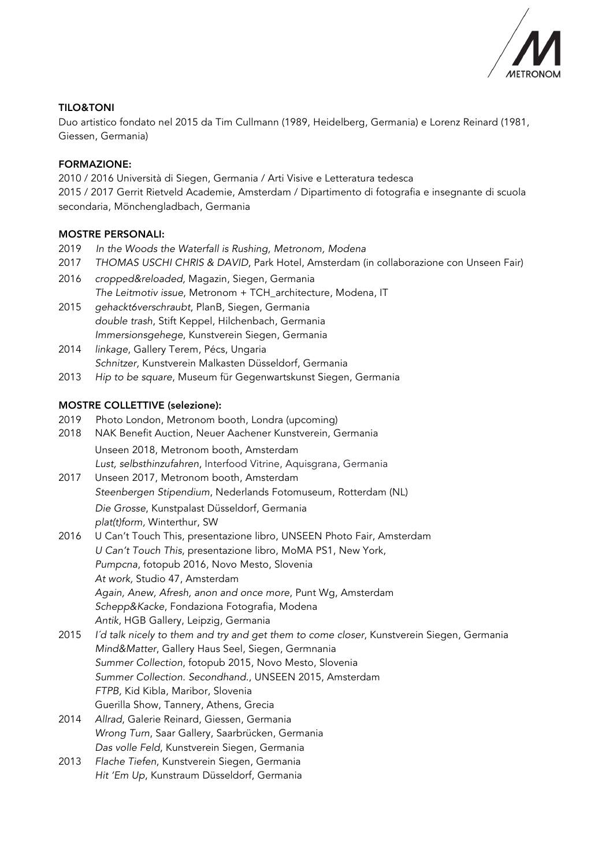

## TILO&TONI

Duo artistico fondato nel 2015 da Tim Cullmann (1989, Heidelberg, Germania) e Lorenz Reinard (1981, Giessen, Germania)

# FORMAZIONE:

2010 / 2016 Università di Siegen, Germania / Arti Visive e Letteratura tedesca 2015 / 2017 Gerrit Rietveld Academie, Amsterdam / Dipartimento di fotografia e insegnante di scuola secondaria, Mönchengladbach, Germania

# MOSTRE PERSONALI:

- 2019 *In the Woods the Waterfall is Rushing, Metronom, Modena*
- 2017 *THOMAS USCHI CHRIS & DAVID*, Park Hotel, Amsterdam (in collaborazione con Unseen Fair)
- 2016 *cropped&reloaded,* Magazin, Siegen, Germania *The Leitmotiv issue*, Metronom + TCH\_architecture, Modena, IT 2015 *gehackt6verschraubt*, PlanB, Siegen, Germania
- *double trash*, Stift Keppel, Hilchenbach, Germania *Immersionsgehege*, Kunstverein Siegen, Germania
- 2014 *linkage*, Gallery Terem, Pécs, Ungaria *Schnitzer,* Kunstverein Malkasten Düsseldorf, Germania
- 2013 *Hip to be square*, Museum für Gegenwartskunst Siegen, Germania

## MOSTRE COLLETTIVE (selezione):

- 2019 Photo London, Metronom booth, Londra (upcoming)
- 2018 NAK Benefit Auction, Neuer Aachener Kunstverein, Germania Unseen 2018, Metronom booth, Amsterdam *Lust, selbsthinzufahren*, Interfood Vitrine, Aquisgrana, Germania
- 2017 Unseen 2017, Metronom booth, Amsterdam *Steenbergen Stipendium*, Nederlands Fotomuseum, Rotterdam (NL) *Die Grosse*, Kunstpalast Düsseldorf, Germania *plat(t)form,* Winterthur, SW
- 2016 U Can't Touch This, presentazione libro, UNSEEN Photo Fair, Amsterdam *U Can't Touch This*, presentazione libro, MoMA PS1, New York, *Pumpcna*, fotopub 2016, Novo Mesto, Slovenia *At work,* Studio 47, Amsterdam *Again, Anew, Afresh, anon and once more*, Punt Wg, Amsterdam *Schepp&Kacke*, Fondaziona Fotografia, Modena *Antik*, HGB Gallery, Leipzig, Germania
- 2015 *I´d talk nicely to them and try and get them to come closer*, Kunstverein Siegen, Germania *Mind&Matter*, Gallery Haus Seel, Siegen, Germnania *Summer Collection*, fotopub 2015, Novo Mesto, Slovenia *Summer Collection. Secondhand.*, UNSEEN 2015, Amsterdam *FTPB,* Kid Kibla, Maribor, Slovenia Guerilla Show, Tannery, Athens, Grecia
- 2014 *Allrad*, Galerie Reinard, Giessen, Germania *Wrong Turn*, Saar Gallery, Saarbrücken, Germania *Das volle Feld*, Kunstverein Siegen, Germania
- 2013 *Flache Tiefen*, Kunstverein Siegen, Germania *Hit 'Em Up*, Kunstraum Düsseldorf, Germania